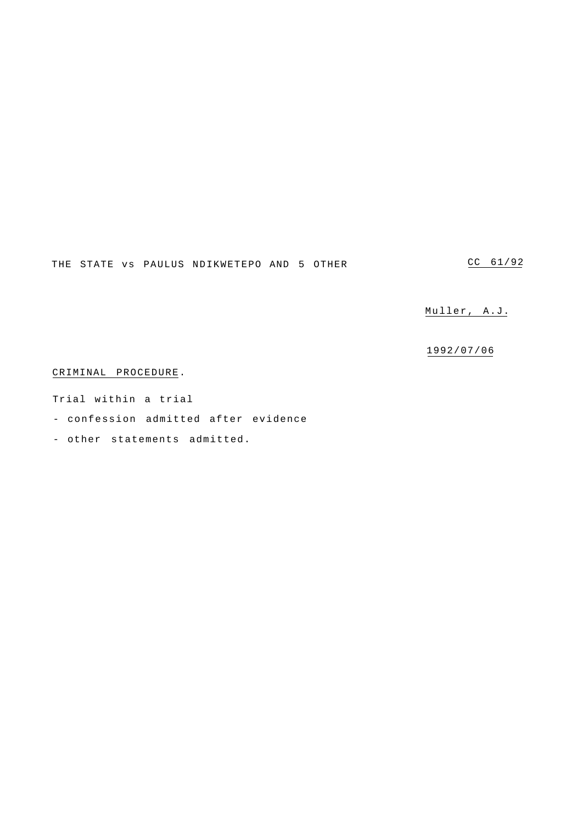THE STATE vs PAULUS NDIKWETEPO AND 5 OTHER

CC 61/92

Muller, A.J.

1992/07/06

CRIMINAL PROCEDURE.

Trial within a trial

- confession admitted after evidence

- other statements admitted.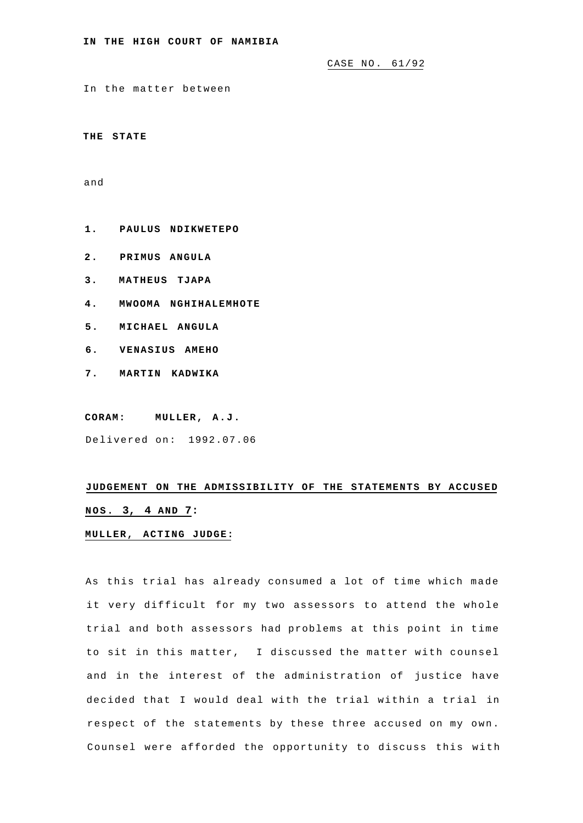CASE NO. 61/92

In the matter between

**THE STATE** 

and

- **1. PAULUS NDIKWETEPO**
- **2. PRIMUS ANGULA**
- **3. MATHEUS TJAPA**
- **4. MWOOMA NGHIHALEMHOTE**
- **5. MICHAEL ANGULA**
- **6. VENASIUS AMEHO**
- **7. MARTIN KADWIKA**

**CORAM: MULLER, A.J.** 

Delivered on: 1992.07.06

## **JUDGEMENT ON THE ADMISSIBILITY OF THE STATEMENTS BY ACCUSED NOS. 3, 4 AND 7:**

## **MULLER, ACTING JUDGE:**

As this trial has already consumed a lot of time which made it very difficult for my two assessors to attend the whole trial and both assessors had problems at this point in time to sit in this matter, I discussed the matter with counsel and in the interest of the administration of justice have decided that I would deal with the trial within a trial in respect of the statements by these three accused on my own. Counsel were afforded the opportunity to discuss this with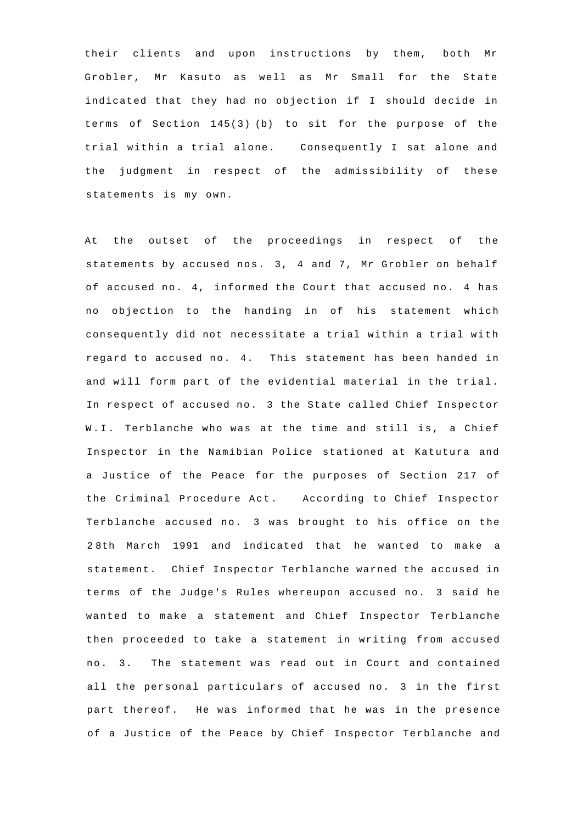their clients and upon instructions by them, both Mr Grobler, Mr Kasuto as well as Mr Small for the State indicated that they had no objection if I should decide in terms of Section 145(3) (b) to sit for the purpose of the trial within a trial alone. Consequently I sat alone and the judgment in respect of the admissibility of these statements is my own.

At the outset of the proceedings in respect of the statements by accused nos. 3, 4 and 7, Mr Grobler on behalf of accused no. 4, informed the Court that accused no. 4 has no objection to the handing in of his statement which consequently did not necessitate a trial within a trial with regard to accused no. 4. This statement has been handed in and will form part of the evidential material in the trial. In respect of accused no. 3 the State called Chief Inspector W.I. Terblanche who was at the time and still is, a Chief Inspector in the Namibian Police stationed at Katutura and a Justice of the Peace for the purposes of Section 217 of the Criminal Procedure Act. According to Chief Inspector Terblanche accused no. 3 was brought to his office on the 2 8th March 1991 and indicated that he wanted to make a statement. Chief Inspector Terblanche warned the accused in terms of the Judge's Rules whereupon accused no. 3 said he wanted to make a statement and Chief Inspector Terblanche then proceeded to take a statement in writing from accused no. 3. The statement was read out in Court and contained all the personal particulars of accused no. 3 in the first part thereof. He was informed that he was in the presence of a Justice of the Peace by Chief Inspector Terblanche and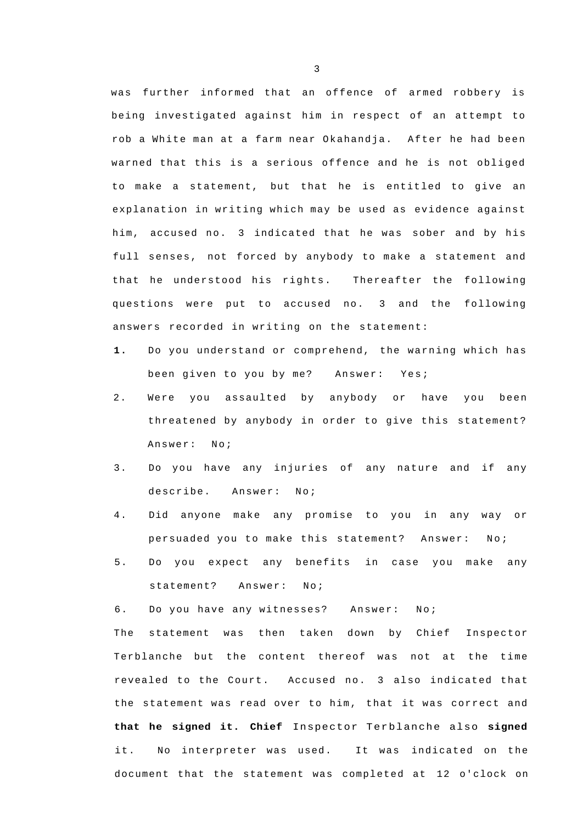was further informed that an offence of armed robbery is being investigated against him in respect of an attempt to rob a White man at a farm near Okahandja. After he had been warned that this is a serious offence and he is not obliged to make a statement, but that he is entitled to give an explanation in writing which may be used as evidence against him, accused no. 3 indicated that he was sober and by his full senses, not forced by anybody to make a statement and that he understood his rights. Thereafter the following questions were put to accused no. 3 and the following answers recorded in writing on the statement:

- **1.** Do you understand or comprehend, the warning which has been given to you by me? Answer: Yes;
- 2. Were you assaulted by anybody or have you been threatened by anybody in order to give this statement? Answer: No;
- 3. Do you have any injuries of any nature and if any describe. Answer: No;
- 4. Did anyone make any promise to you in any way or persuaded you to make this statement? Answer: No;
- 5. Do you expect any benefits in case you make any statement? Answer: No;

6. Do you have any witnesses? Answer: No;

The statement was then taken down by Chief Inspector Terblanche but the content thereof was not at the time revealed to the Court. Accused no. 3 also indicated that the statement was read over to him, that it was correct and **that he signed it. Chief** Inspector Terblanche also **signed**  it. No interpreter was used. It was indicated on the document that the statement was completed at 12 o'clock on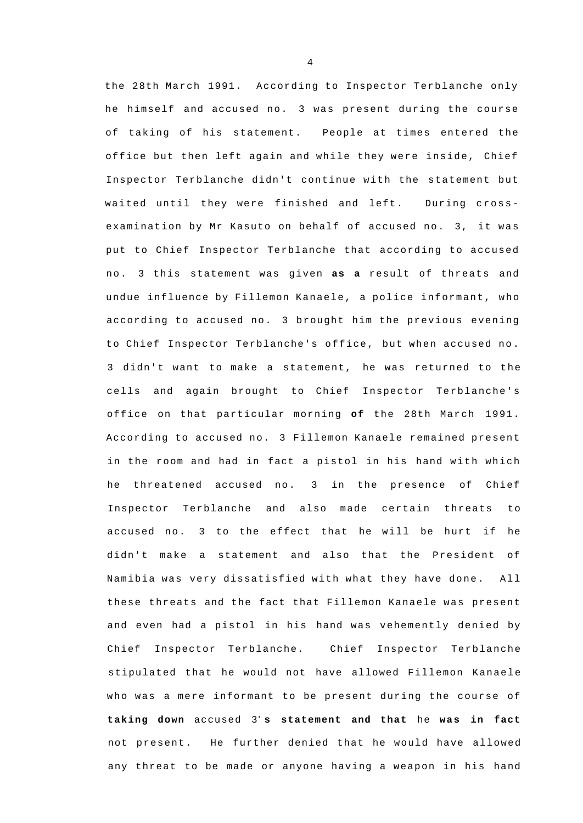the 28th March 1991. According to Inspector Terblanche only he himself and accused no. 3 was present during the course of taking of his statement. People at times entered the office but then left again and while they were inside, Chief Inspector Terblanche didn't continue with the statement but waited until they were finished and left. During crossexamination by Mr Kasuto on behalf of accused no. 3, it was put to Chief Inspector Terblanche that according to accused n o. 3 this statement was given **as a** result of threats and undue influence by Fillemon Kanaele, a police informant, who according to accused no. 3 brought him the previous evening to Chief Inspector Terblanche's office, but when accused no. 3 didn't want to make a statement, he was returned to the cells and again brought to Chief Inspector Terblanche's office on that particular morning **of** the 28th March 1991. According to accused no. 3 Fillemon Kanaele remained present in the room and had in fact a pistol in his hand with which he threatened accused no. 3 in the presence of Chief Inspector Terblanche and also made certain threats to accused no. 3 to the effect that he will be hurt if he didn't make a statement and also that the President of Namibia was very dissatisfied with what they have done. All these threats and the fact that Fillemon Kanaele was present and even had a pistol in his hand was vehemently denied by Chief Inspector Terblanche. Chief Inspector Terblanche stipulated that he would not have allowed Fillemon Kanaele who was a mere informant to be present during the course of **taking down** accused 3**1 s statement and that** he **was in fact**  not present. He further denied that he would have allowed any threat to be made or anyone having a weapon in his hand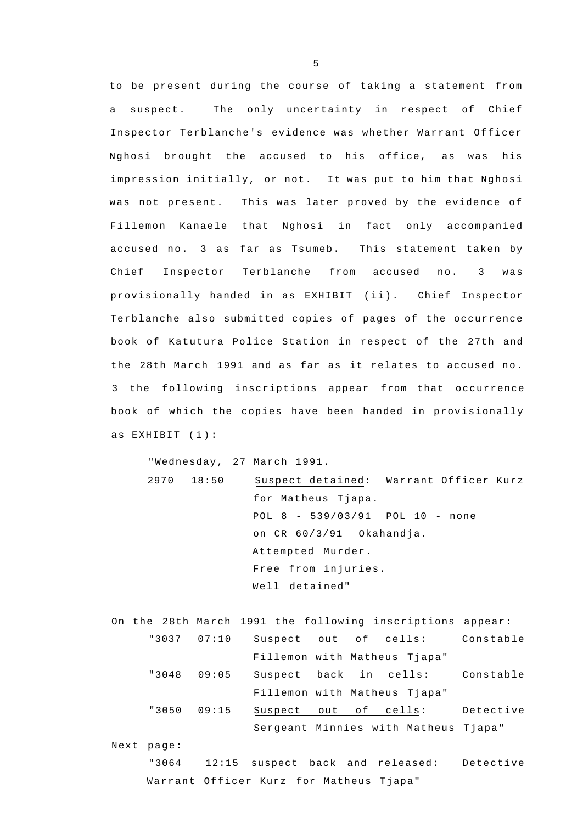to be present during the course of taking a statement from a suspect. The only uncertainty in respect of Chief Inspector Terblanche's evidence was whether Warrant Officer Nghosi brought the accused to his office, as was his impression initially, or not. It was put to him that Nghosi was not present. This was later proved by the evidence of Fillemon Kanaele that Nghosi in fact only accompanied accused no. 3 as far as Tsumeb. This statement taken by Chief Inspector Terblanche from accused no. 3 was provisionally handed in as EXHIBIT (ii). Chief Inspector Terblanche also submitted copies of pages of the occurrence book of Katutura Police Station in respect of the 27th and the 28th March 1991 and as far as it relates to accused no. 3 the following inscriptions appear from that occurrence book of which the copies have been handed in provisionally as EXHIBIT (i) :

"Wednesday, 27 March 1991. 2970 18:50 Suspect detained: Warrant Officer Kurz for Matheus Tjapa. POL 8 - 539/03/91 POL 10 - none on CR 60/3/91 Okahandja. Attempted Murder. Free from injuries. Well detained"

On the 28th March 1991 the following inscriptions appear: "3037 07:10 Suspect out of cells: Constable Fillemon with Matheus Tjapa" "3048 09:05 Suspect back in cells: Constable Fillemon with Matheus Tjapa" "3050 09:15 Suspect out of cells: Detective Sergeant Minnies with Matheus Tjapa" Next page:

"3064 12:15 suspect back and released: Detective Warrant Officer Kurz for Matheus Tjapa"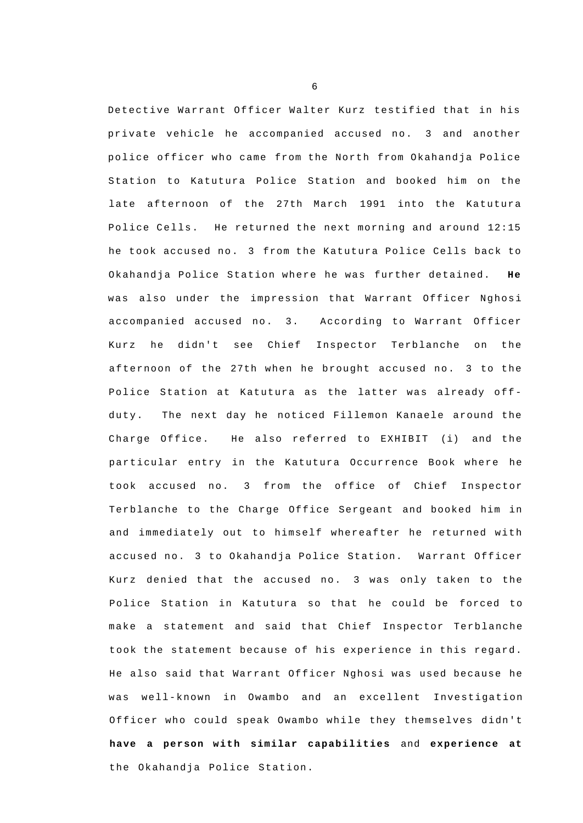Detective Warrant Officer Walter Kurz testified that in his private vehicle he accompanied accused no. 3 and another police officer who came from the North from Okahandja Police Station to Katutura Police Station and booked him on the late afternoon of the 27th March 1991 into the Katutura Police Cells. He returned the next morning and around 12:15 he took accused no. 3 from the Katutura Police Cells back to Okahandja Police Station where he was further detained. **He**  was also under the impression that Warrant Officer Nghosi accompanied accused no. 3. According to Warrant Officer Kurz he didn't see Chief Inspector Terblanche on the afternoon of the 27th when he brought accused no. 3 to the Police Station at Katutura as the latter was already offduty. The next day he noticed Fillemon Kanaele around the Charge Office. He also referred to EXHIBIT (i) and the particular entry in the Katutura Occurrence Book where he took accused no. 3 from the office of Chief Inspector Terblanche to the Charge Office Sergeant and booked him in and immediately out to himself whereafter he returned with accused no. 3 to Okahandja Police Station. Warrant Officer Kurz denied that the accused no. 3 was only taken to the Police Station in Katutura so that he could be forced to make a statement and said that Chief Inspector Terblanche took the statement because of his experience in this regard. He also said that Warrant Officer Nghosi was used because he w as well-known in Owambo and an excellent Investigation Officer who could speak Owambo while they themselves didn't **have a person with similar capabilities** and **experience at**  the Okahandja Police Station.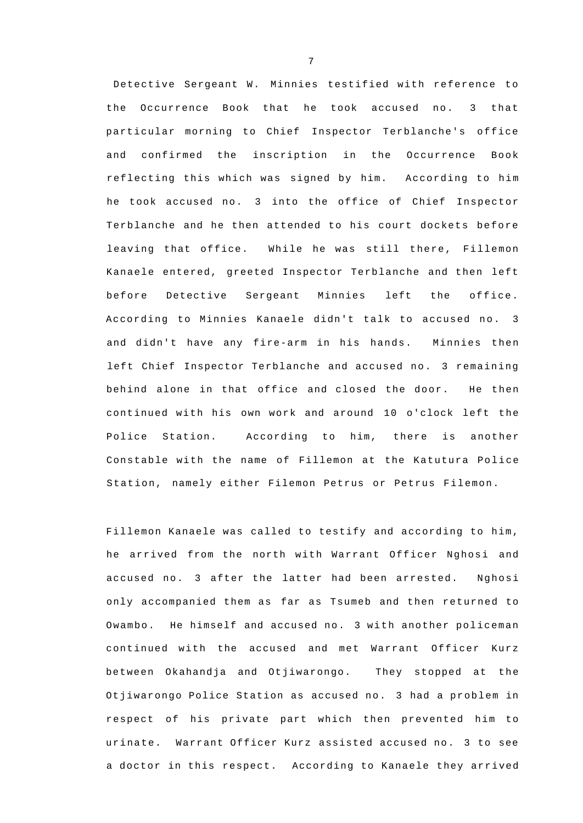Detective Sergeant W. Minnies testified with reference to the Occurrence Book that he took accused no. 3 that particular morning to Chief Inspector Terblanche's office and confirmed the inscription in the Occurrence Book reflecting this which was signed by him. According to him he took accused no. 3 into the office of Chief Inspector Terblanche and he then attended to his court dockets before leaving that office. While he was still there, Fillemon Kanaele entered, greeted Inspector Terblanche and then left before Detective Sergeant Minnies left the office. According to Minnies Kanaele didn't talk to accused no. 3 and didn't have any fire-arm in his hands. Minnies then left Chief Inspector Terblanche and accused no. 3 remaining behind alone in that office and closed the door. He then continued with his own work and around 10 o'clock left the Police Station. According to him, there is another Constable with the name of Fillemon at the Katutura Police Station, namely either Filemon Petrus or Petrus Filemon.

Fillemon Kanaele was called to testify and according to him, he arrived from the north with Warrant Officer Nghosi and accused no. 3 after the latter had been arrested. Nghosi only accompanied them as far as Tsumeb and then returned to Owambo. He himself and accused no. 3 with another policeman continued with the accused and met Warrant Officer Kurz between Okahandja and Otjiwarongo. They stopped at the Otjiwarongo Police Station as accused no. 3 had a problem in respect of his private part which then prevented him to urinate. Warrant Officer Kurz assisted accused no. 3 to see a doctor in this respect. According to Kanaele they arrived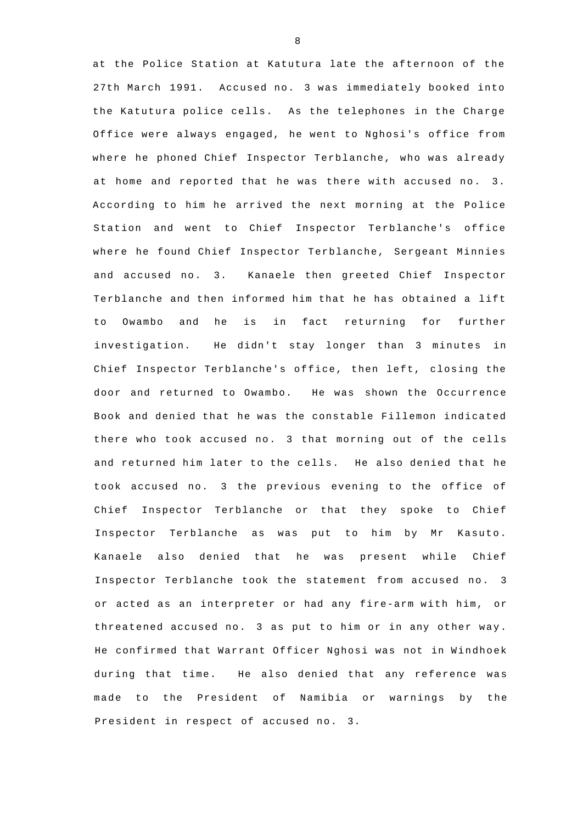at the Police Station at Katutura late the afternoon of the 27th March 1991. Accused no. 3 was immediately booked into the Katutura police cells. As the telephones in the Charge Office were always engaged, he went to Nghosi's office from where he phoned Chief Inspector Terblanche, who was already at home and reported that he was there with accused no. 3. According to him he arrived the next morning at the Police Station and went to Chief Inspector Terblanche's office where he found Chief Inspector Terblanche, Sergeant Minnies and accused no. 3. Kanaele then greeted Chief Inspector Terblanche and then informed him that he has obtained a lift to Owambo and he is in fact returning for further investigation. He didn't stay longer than 3 minutes in Chief Inspector Terblanche's office, then left, closing the door and returned to Owambo. He was shown the Occurrence Book and denied that he was the constable Fillemon indicated there who took accused no. 3 that morning out of the cells and returned him later to the cells. He also denied that he took accused no. 3 the previous evening to the office of Chief Inspector Terblanche or that they spoke to Chief Inspector Terblanche as was put to him by Mr Kasuto. Kanaele also denied that he was present while Chief Inspector Terblanche took the statement from accused no. 3 or acted as an interpreter or had any fire-arm with him, or threatened accused no. 3 as put to him or in any other way. He confirmed that Warrant Officer Nghosi was not in Windhoek during that time. He also denied that any reference was made to the President of Namibia or warnings by the President in respect of accused no. 3.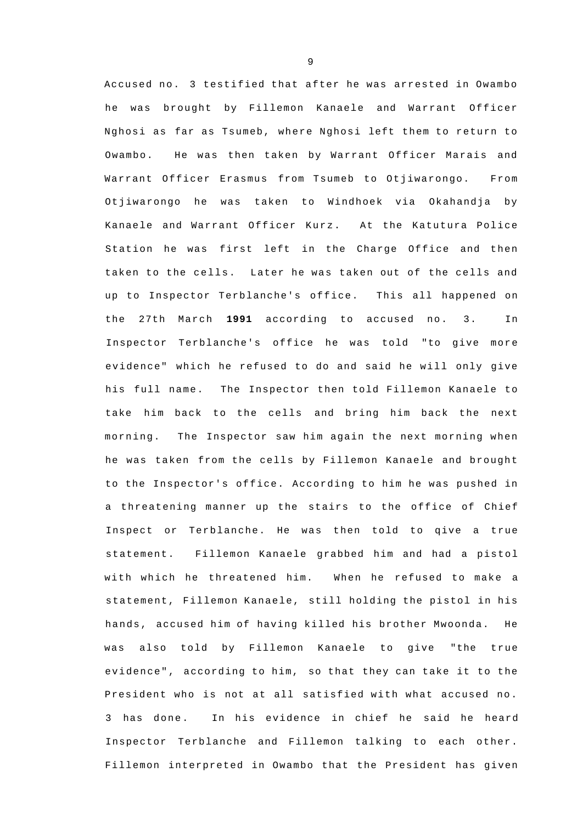Accused no. 3 testified that after he was arrested in Owambo he was brought by Fillemon Kanaele and Warrant Officer Nghosi as far as Tsumeb, where Nghosi left them to return to Owambo. He was then taken by Warrant Officer Marais and Warrant Officer Erasmus from Tsumeb to Otjiwarongo. From Otjiwarongo he was taken to Windhoek via Okahandja by Kanaele and Warrant Officer Kurz. At the Katutura Police Station he was first left in the Charge Office and then taken to the cells. Later he was taken out of the cells and up to Inspector Terblanche's office. This all happened on the 27th March **1991** according to accused no. 3. In Inspector Terblanche's office he was told "to give more evidence" which he refused to do and said he will only give his full name. The Inspector then told Fillemon Kanaele to take him back to the cells and bring him back the next morning. The Inspector saw him again the next morning when he was taken from the cells by Fillemon Kanaele and brought to the Inspector's office. According to him he was pushed in a threatening manner up the stairs to the office of Chief Inspect or Terblanche. He was then told to qive a true statement. Fillemon Kanaele grabbed him and had a pistol with which he threatened him. When he refused to make a statement, Fillemon Kanaele, still holding the pistol in his hands, accused him of having killed his brother Mwoonda. He was also told by Fillemon Kanaele to give "the true evidence", according to him, so that they can take it to the President who is not at all satisfied with what accused no. 3 has done. In his evidence in chief he said he heard Inspector Terblanche and Fillemon talking to each other. Fillemon interpreted in Owambo that the President has given

 $\mathsf{Q}$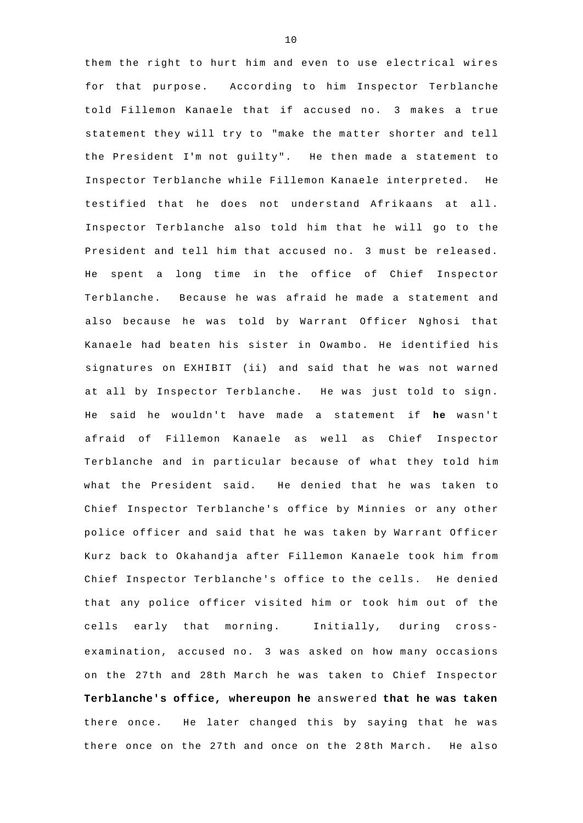them the right to hurt him and even to use electrical wires for that purpose. According to him Inspector Terblanche told Fillemon Kanaele that if accused no. 3 makes a true statement they will try to "make the matter shorter and tell the President I'm not guilty". He then made a statement to Inspector Terblanche while Fillemon Kanaele interpreted. He testified that he does not understand Afrikaans at all. Inspector Terblanche also told him that he will go to the President and tell him that accused no. 3 must be released. He spent a long time in the office of Chief Inspector Terblanche. Because he was afraid he made a statement and also because he was told by Warrant Officer Nghosi that Kanaele had beaten his sister in Owambo. He identified his signatures on EXHIBIT (ii) and said that he was not warned at all by Inspector Terblanche. He was just told to sign. He said he wouldn't have made a statement if **he** wasn't afraid of Fillemon Kanaele as well as Chief Inspector Terblanche and in particular because of what they told him what the President said. He denied that he was taken to Chief Inspector Terblanche's office by Minnies or any other police officer and said that he was taken by Warrant Officer Kurz back to Okahandja after Fillemon Kanaele took him from Chief Inspector Terblanche's office to the cells. He denied that any police officer visited him or took him out of the cells early that morning. Initially, during crossexamination, accused no. 3 was asked on how many occasions on the 27th and 28th March he was taken to Chief Inspector **Terblanche's office, whereupon he** answered **that he was taken**  there once. He later changed this by saying that he was there once on the 27th and once on the 2 8th March. He also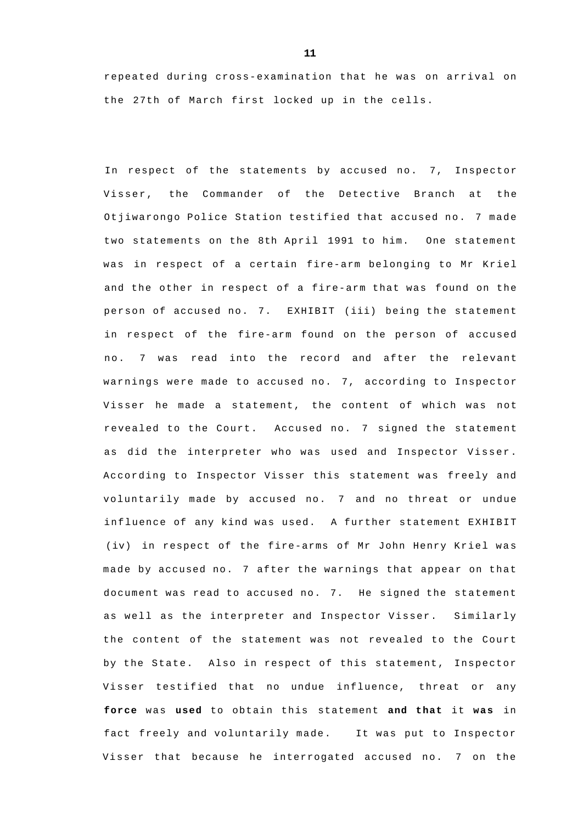repeated during cross-examination that he was on arrival on the 27th of March first locked up in the cells.

In respect of the statements by accused no. 7, Inspector Visser, the Commander of the Detective Branch at the Otjiwarongo Police Station testified that accused no. 7 made two statements on the 8th April 1991 to him. One statement was in respect of a certain fire-arm belonging to Mr Kriel and the other in respect of a fire-arm that was found on the person of accused no. 7. EXHIBIT (iii) being the statement in respect of the fire-arm found on the person of accused no. 7 was read into the record and after the relevant warnings were made to accused no. 7, according to Inspector Visser he made a statement, the content of which was not revealed to the Court. Accused no. 7 signed the statement as did the interpreter who was used and Inspector Visser. According to Inspector Visser this statement was freely and voluntarily made by accused no. 7 and no threat or undue influence of any kind was used. A further statement EXHIBIT (iv) in respect of the fire-arms of Mr John Henry Kriel was made by accused no. 7 after the warnings that appear on that document was read to accused no. 7. He signed the statement as well as the interpreter and Inspector Visser. Similarly the content of the statement was not revealed to the Court by the State. Also in respect of this statement, Inspector Visser testified that no undue influence, threat or any **force** was **used** to obtain this statement **and that** it **was** in fact freely and voluntarily made. It was put to Inspector Visser that because he interrogated accused no. 7 on the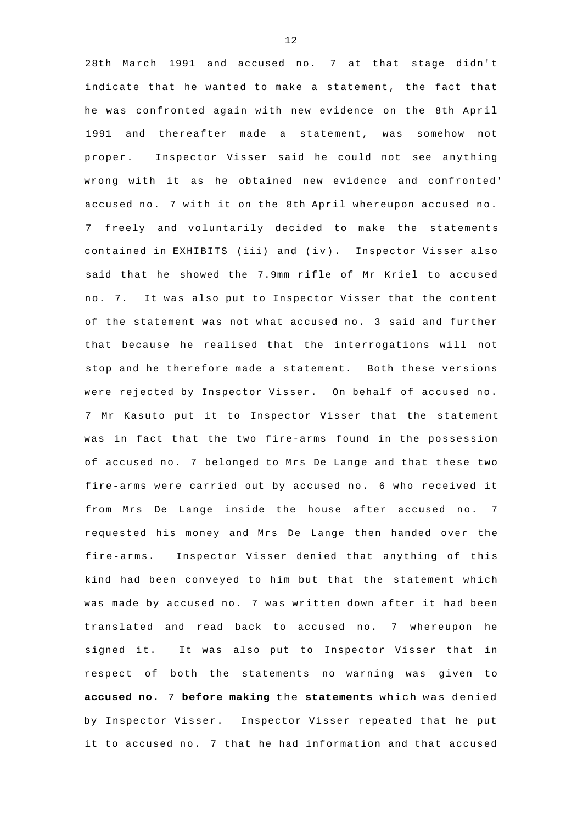28th March 1991 and accused no. 7 at that stage didn't indicate that he wanted to make a statement, the fact that he was confronted again with new evidence on the 8th April 1991 and thereafter made a statement, was somehow not proper. Inspector Visser said he could not see anything wrong with it as he obtained new evidence and confronted' accused no. 7 with it on the 8th April whereupon accused no. 7 freely and voluntarily decided to make the statements contained in EXHIBITS (iii) and (iv). Inspector Visser also said that he showed the 7.9mm rifle of Mr Kriel to accused no. 7. It was also put to Inspector Visser that the content of the statement was not what accused no. 3 said and further that because he realised that the interrogations will not stop and he therefore made a statement. Both these versions were rejected by Inspector Visser. On behalf of accused no. 7 Mr Kasuto put it to Inspector Visser that the statement was in fact that the two fire-arms found in the possession of accused no. 7 belonged to Mrs De Lange and that these two fire-arms were carried out by accused no. 6 who received it from Mrs De Lange inside the house after accused no. 7 requested his money and Mrs De Lange then handed over the fire-arms. Inspector Visser denied that anything of this kind had been conveyed to him but that the statement which was made by accused no. 7 was written down after it had been translated and read back to accused no. 7 whereupon he signed it. It was also put to Inspector Visser that in respect of both the statements no warning was given to **accused no.** 7 **before making** the **statements** which was denied by Inspector Visser. Inspector Visser repeated that he put it to accused no. 7 that he had information and that accused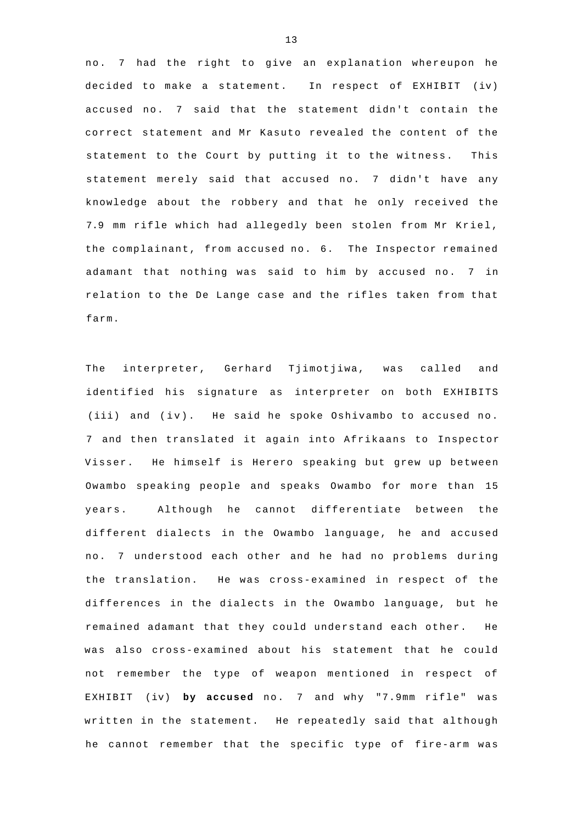no. 7 had the right to give an explanation whereupon he decided to make a statement. In respect of EXHIBIT (iv) accused no. 7 said that the statement didn't contain the correct statement and Mr Kasuto revealed the content of the statement to the Court by putting it to the witness. This statement merely said that accused no. 7 didn't have any knowledge about the robbery and that he only received the 7.9 mm rifle which had allegedly been stolen from Mr Kriel, the complainant, from accused no. 6. The Inspector remained adamant that nothing was said to him by accused no. 7 in relation to the De Lange case and the rifles taken from that farm.

The interpreter, Gerhard Tjimotjiwa, was called and identified his signature as interpreter on both EXHIBITS (iii) and (iv). He said he spoke Oshivambo to accused no. 7 and then translated it again into Afrikaans to Inspector Visser. He himself is Herero speaking but grew up between Owambo speaking people and speaks Owambo for more than 15 years. Although he cannot differentiate between the different dialects in the Owambo language, he and accused no. 7 understood each other and he had no problems during the translation. He was cross-examined in respect of the differences in the dialects in the Owambo language, but he remained adamant that they could understand each other. He was also cross-examined about his statement that he could not remember the type of weapon mentioned in respect of EXHIBIT (iv) **by accused** no. 7 and why "7.9mm rifle" was written in the statement. He repeatedly said that although he cannot remember that the specific type of fire-arm was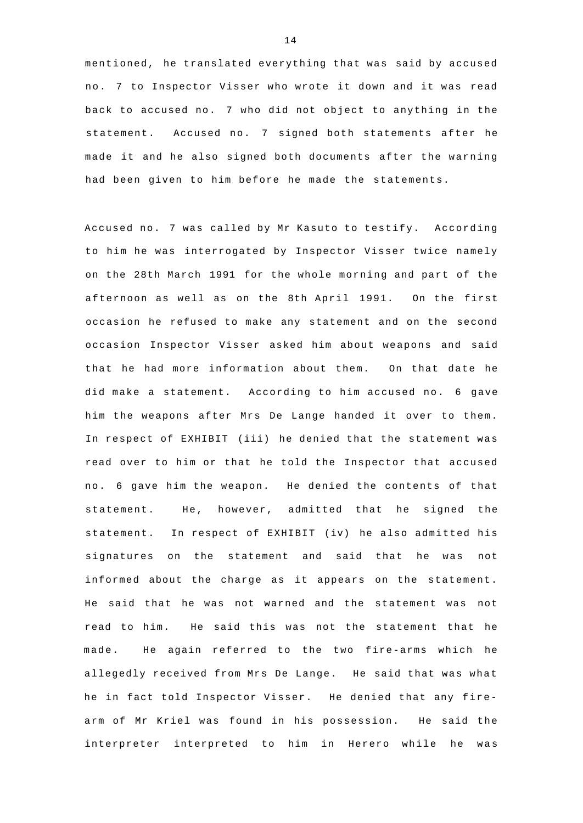mentioned, he translated everything that was said by accused no. 7 to Inspector Visser who wrote it down and it was read back to accused no. 7 who did not object to anything in the statement. Accused no. 7 signed both statements after he made it and he also signed both documents after the warning had been given to him before he made the statements.

Accused no. 7 was called by Mr Kasuto to testify. According to him he was interrogated by Inspector Visser twice namely on the 28th March 1991 for the whole morning and part of the afternoon as well as on the 8th April 1991. On the first occasion he refused to make any statement and on the second occasion Inspector Visser asked him about weapons and said that he had more information about them. On that date he did make a statement. According to him accused no. 6 gave him the weapons after Mrs De Lange handed it over to them. In respect of EXHIBIT (iii) he denied that the statement was read over to him or that he told the Inspector that accused n o. 6 gave him the weapon. He denied the contents of that statement. He, however, admitted that he signed the statement. In respect of EXHIBIT (iv) he also admitted his signatures on the statement and said that he was not informed about the charge as it appears on the statement. He said that he was not warned and the statement was not read to him. He said this was not the statement that he made. He again referred to the two fire-arms which he allegedly received from Mrs De Lange. He said that was what he in fact told Inspector Visser. He denied that any firearm of Mr Kriel was found in his possession. He said the interpreter interpreted to him in Herero while he was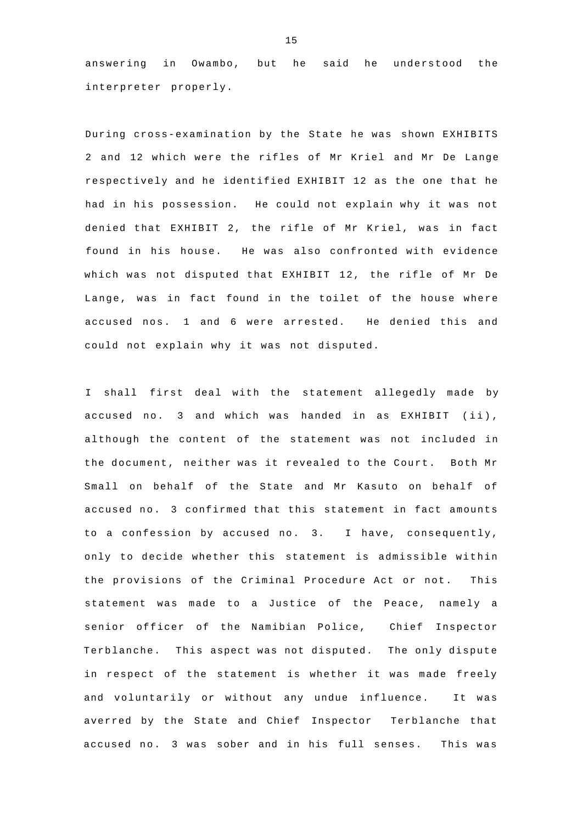answering in Owambo, but he said he understood the interpreter properly.

During cross-examination by the State he was shown EXHIBITS 2 and 12 which were the rifles of Mr Kriel and Mr De Lange respectively and he identified EXHIBIT 12 as the one that he had in his possession. He could not explain why it was not denied that EXHIBIT 2, the rifle of Mr Kriel, was in fact found in his house. He was also confronted with evidence which was not disputed that EXHIBIT 12, the rifle of Mr De Lange, was in fact found in the toilet of the house where accused nos. 1 and 6 were arrested. He denied this and could not explain why it was not disputed.

I shall first deal with the statement allegedly made by accused no. 3 and which was handed in as EXHIBIT (ii) , although the content of the statement was not included in the document, neither was it revealed to the Court. Both Mr Small on behalf of the State and Mr Kasuto on behalf of accused no. 3 confirmed that this statement in fact amounts to a confession by accused no. 3. I have, consequently, only to decide whether this statement is admissible within the provisions of the Criminal Procedure Act or not. This statement was made to a Justice of the Peace, namely a senior officer of the Namibian Police, Chief Inspector Terblanche. This aspect was not disputed. The only dispute in respect of the statement is whether it was made freely and voluntarily or without any undue influence. It was averred by the State and Chief Inspector Terblanche that accused no. 3 was sober and in his full senses. This was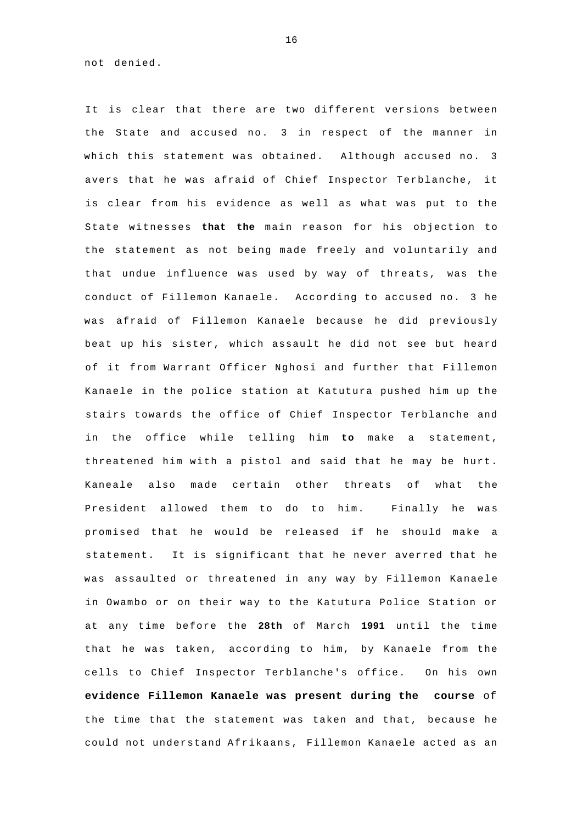not denied.

It is clear that there are two different versions between the State and accused no. 3 in respect of the manner in which this statement was obtained. Although accused no. 3 avers that he was afraid of Chief Inspector Terblanche, it is clear from his evidence as well as what was put to the State witnesses **that the** main reason for his objection to the statement as not being made freely and voluntarily and that undue influence was used by way of threats, was the conduct of Fillemon Kanaele. According to accused no. 3 he was afraid of Fillemon Kanaele because he did previously beat up his sister, which assault he did not see but heard of it from Warrant Officer Nghosi and further that Fillemon Kanaele in the police station at Katutura pushed him up the stairs towards the office of Chief Inspector Terblanche and in the office while telling him **to** make a statement, threatened him with a pistol and said that he may be hurt. Kaneale also made certain other threats of what the President allowed them to do to him. Finally he was promised that he would be released if he should make a statement. It is significant that he never averred that he was assaulted or threatened in any way by Fillemon Kanaele in Owambo or on their way to the Katutura Police Station or at any time before the **28th** of March **1991** until the time that he was taken, according to him, by Kanaele from the cells to Chief Inspector Terblanche's office. On his own **evidence Fillemon Kanaele was present during the course** of the time that the statement was taken and that, because he could not understand Afrikaans, Fillemon Kanaele acted as an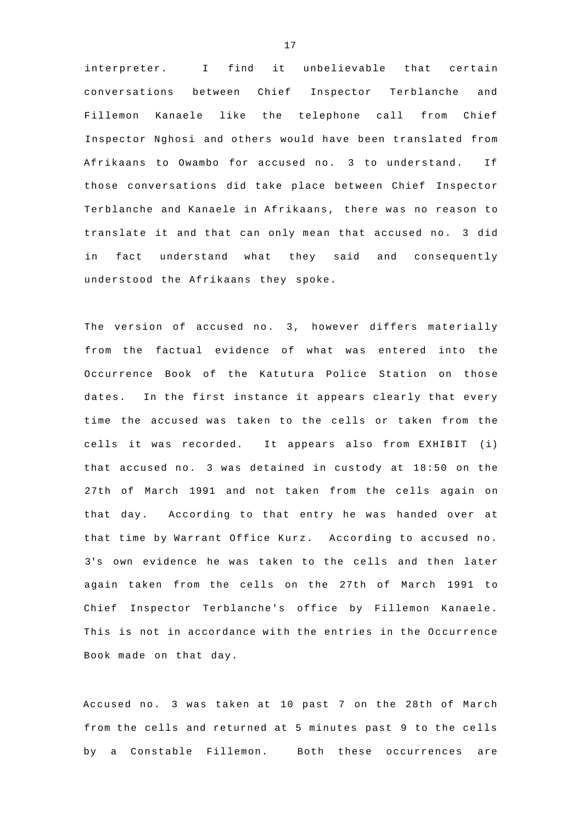interpreter. I find it unbelievable that certain conversations between Chief Inspector Terblanche and Fillemon Kanaele like the telephone call from Chief Inspector Nghosi and others would have been translated from Afrikaans to Owambo for accused no. 3 to understand. If those conversations did take place between Chief Inspector Terblanche and Kanaele in Afrikaans, there was no reason to translate it and that can only mean that accused no. 3 did in fact understand what they said and consequently understood the Afrikaans they spoke.

The version of accused no. 3, however differs materially from the factual evidence of what was entered into the Occurrence Book of the Katutura Police Station on those dates. In the first instance it appears clearly that every time the accused was taken to the cells or taken from the cells it was recorded. It appears also from EXHIBIT (i) that accused no. 3 was detained in custody at 18:50 on the 27th of March 1991 and not taken from the cells again on that day. According to that entry he was handed over at that time by Warrant Office Kurz. According to accused no. 3's own evidence he was taken to the cells and then later again taken from the cells on the 27th of March 1991 to Chief Inspector Terblanche's office by Fillemon Kanaele. This is not in accordance with the entries in the Occurrence Book made on that day.

Accused no. 3 was taken at 10 past 7 on the 28th of March from the cells and returned at 5 minutes past 9 to the cells by a Constable Fillemon. Both these occurrences are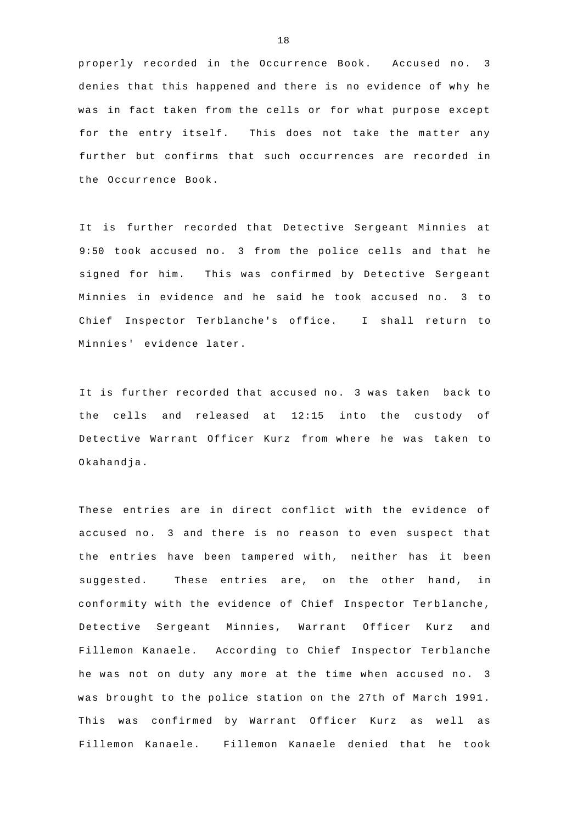properly recorded in the Occurrence Book. Accused no. 3 denies that this happened and there is no evidence of why he was in fact taken from the cells or for what purpose except for the entry itself. This does not take the matter any further but confirms that such occurrences are recorded in the Occurrence Book.

It is further recorded that Detective Sergeant Minnies at 9:50 took accused no. 3 from the police cells and that he signed for him. This was confirmed by Detective Sergeant Minnies in evidence and he said he took accused no. 3 to Chief Inspector Terblanche's office. I shall return to Minnies' evidence later.

It is further recorded that accused no. 3 was taken back to the cells and released at 12:15 into the custody of Detective Warrant Officer Kurz from where he was taken to Okahandja.

These entries are in direct conflict with the evidence of accused no. 3 and there is no reason to even suspect that the entries have been tampered with, neither has it been suggested. These entries are, on the other hand, in conformity with the evidence of Chief Inspector Terblanche, Detective Sergeant Minnies, Warrant Officer Kurz and Fillemon Kanaele. According to Chief Inspector Terblanche he was not on duty any more at the time when accused no. 3 was brought to the police station on the 27th of March 1991. This was confirmed by Warrant Officer Kurz as well as Fillemon Kanaele. Fillemon Kanaele denied that he took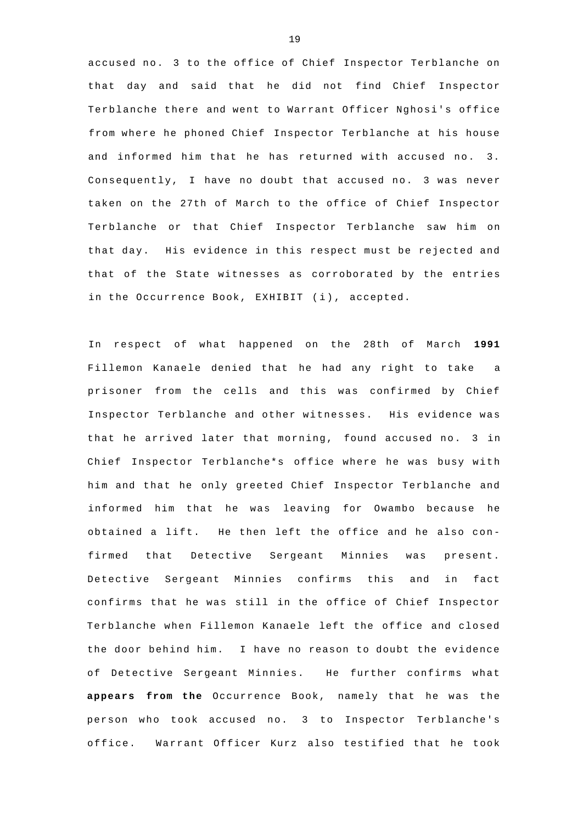accused no. 3 to the office of Chief Inspector Terblanche on that day and said that he did not find Chief Inspector Terblanche there and went to Warrant Officer Nghosi's office from where he phoned Chief Inspector Terblanche at his house and informed him that he has returned with accused no. 3. Consequently, I have no doubt that accused no. 3 was never taken on the 27th of March to the office of Chief Inspector Terblanche or that Chief Inspector Terblanche saw him on that day. His evidence in this respect must be rejected and that of the State witnesses as corroborated by the entries in the Occurrence Book, EXHIBIT (i), accepted.

In respect of what happened on the 28th of March **1991**  Fillemon Kanaele denied that he had any right to take a prisoner from the cells and this was confirmed by Chief Inspector Terblanche and other witnesses. His evidence was that he arrived later that morning, found accused no. 3 in Chief Inspector Terblanche\*s office where he was busy with him and that he only greeted Chief Inspector Terblanche and informed him that he was leaving for Owambo because he obtained a lift. He then left the office and he also confirmed that Detective Sergeant Minnies was present. Detective Sergeant Minnies confirms this and in fact confirms that he was still in the office of Chief Inspector Terblanche when Fillemon Kanaele left the office and closed the door behind him. I have no reason to doubt the evidence of Detective Sergeant Minnies. He further confirms what **appears from the** Occurrence Book, namely that he was the person who took accused no. 3 to Inspector Terblanche's office. Warrant Officer Kurz also testified that he took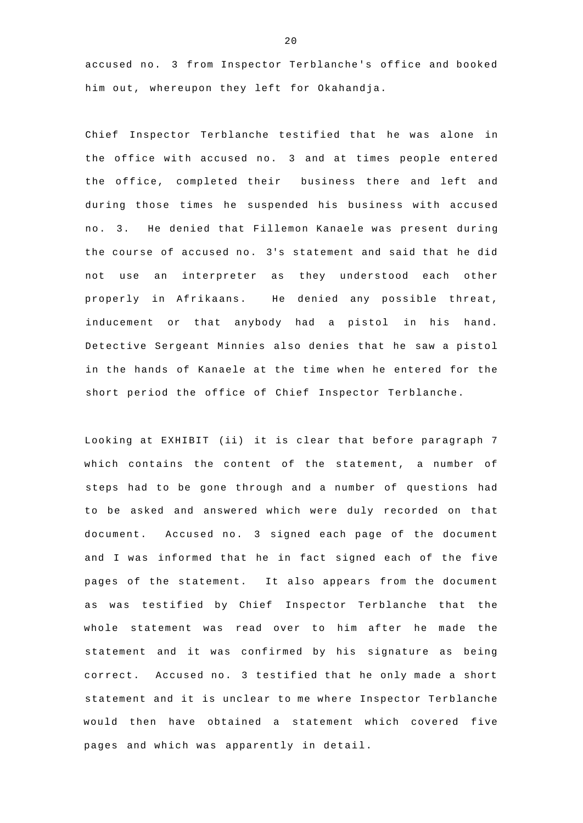accused no. 3 from Inspector Terblanche's office and booked him out, whereupon they left for Okahandja.

Chief Inspector Terblanche testified that he was alone in the office with accused no. 3 and at times people entered the office, completed their business there and left and during those times he suspended his business with accused no. 3. He denied that Fillemon Kanaele was present during the course of accused no. 3's statement and said that he did not use an interpreter as they understood each other properly in Afrikaans. He denied any possible threat, inducement or that anybody had a pistol in his hand. Detective Sergeant Minnies also denies that he saw a pistol in the hands of Kanaele at the time when he entered for the short period the office of Chief Inspector Terblanche.

Looking at EXHIBIT (ii) it is clear that before paragraph 7 which contains the content of the statement, a number of steps had to be gone through and a number of questions had to be asked and answered which were duly recorded on that document. Accused no. 3 signed each page of the document and I was informed that he in fact signed each of the five pages of the statement. It also appears from the document as was testified by Chief Inspector Terblanche that the whole statement was read over to him after he made the statement and it was confirmed by his signature as being correct. Accused no. 3 testified that he only made a short statement and it is unclear to me where Inspector Terblanche would then have obtained a statement which covered five pages and which was apparently in detail.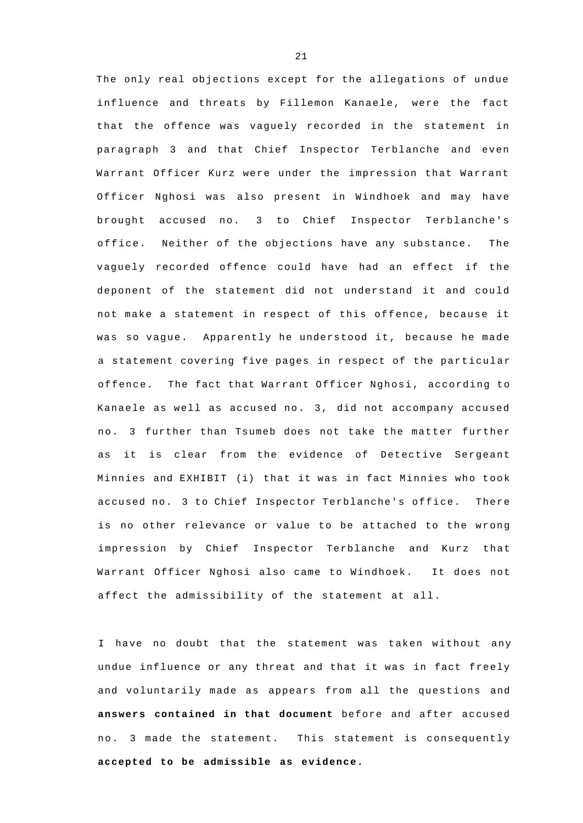The only real objections except for the allegations of undue influence and threats by Fillemon Kanaele, were the fact that the offence was vaguely recorded in the statement in paragraph 3 and that Chief Inspector Terblanche and even Warrant Officer Kurz were under the impression that Warrant Officer Nghosi was also present in Windhoek and may have brought accused no. 3 to Chief Inspector Terblanche's office. Neither of the objections have any substance. The vaguely recorded offence could have had an effect if the deponent of the statement did not understand it and could not make a statement in respect of this offence, because it was so vague. Apparently he understood it, because he made a statement covering five pages in respect of the particular offence. The fact that Warrant Officer Nghosi, according to Kanaele as well as accused no. 3, did not accompany accused n o. 3 further than Tsumeb does not take the matter further as it is clear from the evidence of Detective Sergeant Minnies and EXHIBIT (i) that it was in fact Minnies who took accused no. 3 to Chief Inspector Terblanche's office. There is no other relevance or value to be attached to the wrong impression by Chief Inspector Terblanche and Kurz that Warrant Officer Nghosi also came to Windhoek. It does not affect the admissibility of the statement at all.

I have no doubt that the statement was taken without any undue influence or any threat and that it was in fact freely and voluntarily made as appears from all the questions and **answers contained in that document** before and after accused no. 3 made the statement. This statement is consequently **accepted to be admissible as evidence.**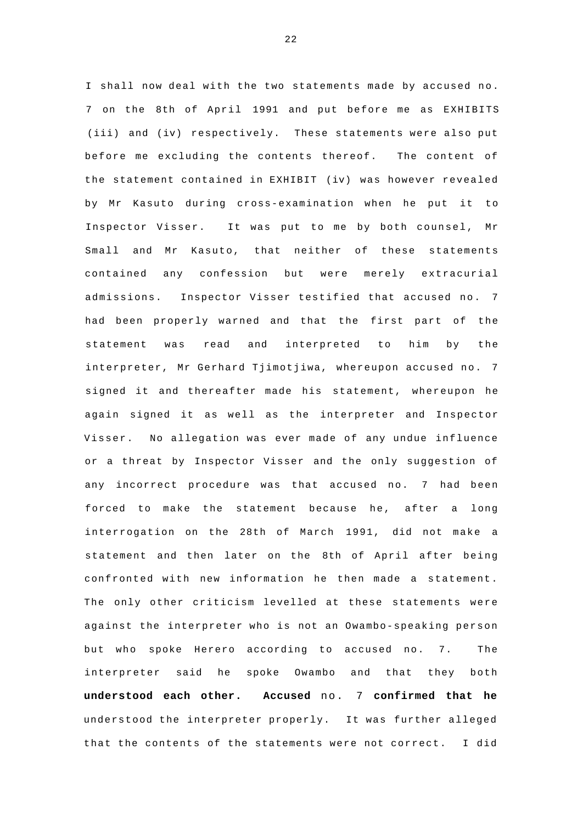I shall now deal with the two statements made by accused no. 7 on the 8th of April 1991 and put before me as EXHIBITS (iii) and (iv) respectively. These statements were also put before me excluding the contents thereof. The content of the statement contained in EXHIBIT (iv) was however revealed by Mr Kasuto during cross-examination when he put it to Inspector Visser. It was put to me by both counsel, Mr Small and Mr Kasuto, that neither of these statements contained any confession but were merely extracurial admissions. Inspector Visser testified that accused no. 7 had been properly warned and that the first part of the statement was read and interpreted to him by the interpreter, Mr Gerhard Tjimotjiwa, whereupon accused no. 7 signed it and thereafter made his statement, whereupon he again signed it as well as the interpreter and Inspector Visser. No allegation was ever made of any undue influence or a threat by Inspector Visser and the only suggestion of any incorrect procedure was that accused no. 7 had been forced to make the statement because he, after a long interrogation on the 28th of March 1991, did not make a statement and then later on the 8th of April after being confronted with new information he then made a statement. The only other criticism levelled at these statements were against the interpreter who is not an Owambo-speaking person but who spoke Herero according to accused no. 7. The interpreter said he spoke Owambo and that they both **understood each other. Accused** no. 7 **confirmed that he**  understood the interpreter properly. It was further alleged that the contents of the statements were not correct. I did